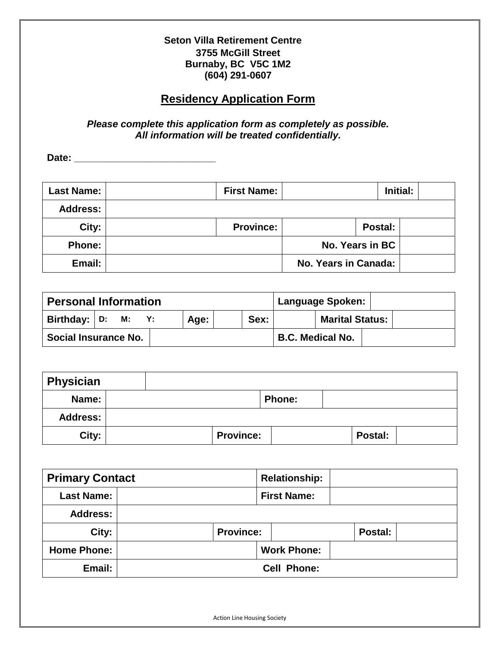### **Seton Villa Retirement Centre 3755 McGill Street Burnaby, BC V5C 1M2 (604) 291-0607**

# **Residency Application Form**

#### *Please complete this application form as completely as possible. All information will be treated confidentially.*

**Date: \_\_\_\_\_\_\_\_\_\_\_\_\_\_\_\_\_\_\_\_\_\_\_\_\_\_**

| <b>Last Name:</b> | <b>First Name:</b> |                      |         | Initial: |  |
|-------------------|--------------------|----------------------|---------|----------|--|
| <b>Address:</b>   |                    |                      |         |          |  |
| City:             | <b>Province:</b>   |                      | Postal: |          |  |
| <b>Phone:</b>     |                    | No. Years in BC      |         |          |  |
| Email:            |                    | No. Years in Canada: |         |          |  |

| <b>Personal Information</b> |  |  |    | Language Spoken: |      |                         |  |  |
|-----------------------------|--|--|----|------------------|------|-------------------------|--|--|
| Birthday: $ D: M:$          |  |  | Y: | Age:             | Sex: | <b>Marital Status:</b>  |  |  |
| Social Insurance No.        |  |  |    |                  |      | <b>B.C. Medical No.</b> |  |  |

| Physician |                  |               |         |  |
|-----------|------------------|---------------|---------|--|
| Name:     |                  | <b>Phone:</b> |         |  |
| Address:  |                  |               |         |  |
| City:     | <b>Province:</b> |               | Postal: |  |

| <b>Primary Contact</b> |                    |                  | <b>Relationship:</b> |                    |  |         |  |
|------------------------|--------------------|------------------|----------------------|--------------------|--|---------|--|
| <b>Last Name:</b>      |                    |                  |                      | <b>First Name:</b> |  |         |  |
| Address:               |                    |                  |                      |                    |  |         |  |
| City:                  |                    | <b>Province:</b> |                      |                    |  | Postal: |  |
| <b>Home Phone:</b>     |                    |                  |                      | <b>Work Phone:</b> |  |         |  |
| Email:                 | <b>Cell Phone:</b> |                  |                      |                    |  |         |  |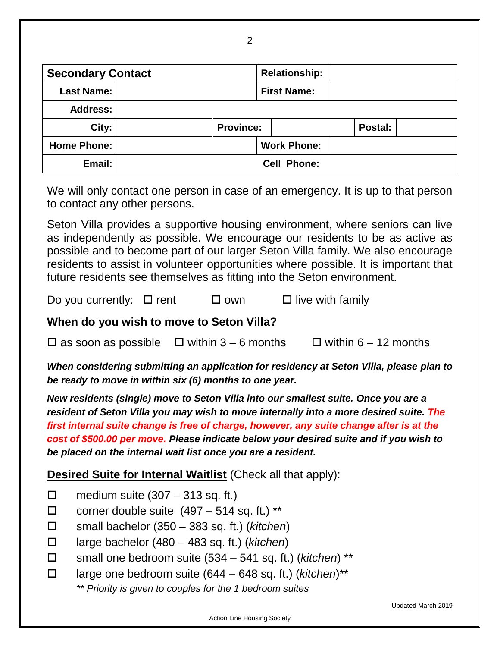| <b>Secondary Contact</b> |                    |                  | <b>Relationship:</b> |         |  |  |
|--------------------------|--------------------|------------------|----------------------|---------|--|--|
| <b>Last Name:</b>        |                    |                  | <b>First Name:</b>   |         |  |  |
| <b>Address:</b>          |                    |                  |                      |         |  |  |
| City:                    |                    | <b>Province:</b> |                      | Postal: |  |  |
| <b>Home Phone:</b>       |                    |                  | <b>Work Phone:</b>   |         |  |  |
| Email:                   | <b>Cell Phone:</b> |                  |                      |         |  |  |

We will only contact one person in case of an emergency. It is up to that person to contact any other persons.

Seton Villa provides a supportive housing environment, where seniors can live as independently as possible. We encourage our residents to be as active as possible and to become part of our larger Seton Villa family. We also encourage residents to assist in volunteer opportunities where possible. It is important that future residents see themselves as fitting into the Seton environment.

Do you currently:  $\Box$  rent  $\Box$  own  $\Box$  live with family

## **When do you wish to move to Seton Villa?**

 $\Box$  as soon as possible  $\Box$  within 3 – 6 months  $\Box$  within 6 – 12 months

*When considering submitting an application for residency at Seton Villa, please plan to be ready to move in within six (6) months to one year.*

*New residents (single) move to Seton Villa into our smallest suite. Once you are a resident of Seton Villa you may wish to move internally into a more desired suite. The first internal suite change is free of charge, however, any suite change after is at the cost of \$500.00 per move. Please indicate below your desired suite and if you wish to be placed on the internal wait list once you are a resident.*

# **Desired Suite for Internal Waitlist** (Check all that apply):

- $\Box$  medium suite (307 313 sq. ft.)
- $\Box$  corner double suite  $(497 514$  sq. ft.) \*\*
- small bachelor (350 383 sq. ft.) (*kitchen*)
- large bachelor (480 483 sq. ft.) (*kitchen*)
- small one bedroom suite (534 541 sq. ft.) (*kitchen*) \*\*
- large one bedroom suite (644 648 sq. ft.) (*kitchen*)\*\*
	- *\*\* Priority is given to couples for the 1 bedroom suites*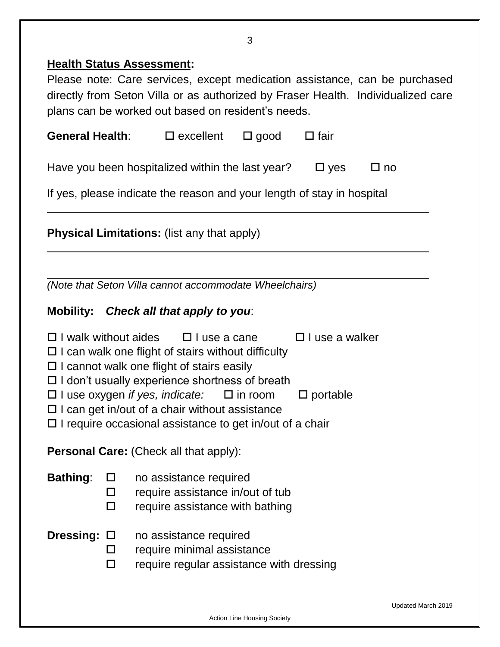# **Health Status Assessment:**

Please note: Care services, except medication assistance, can be purchased directly from Seton Villa or as authorized by Fraser Health. Individualized care plans can be worked out based on resident's needs.

| General Health:<br>$\square$ excellent                                                                                                                                                                                                             |  | $\square$ good | $\Box$ fair        |  |  |  |  |  |
|----------------------------------------------------------------------------------------------------------------------------------------------------------------------------------------------------------------------------------------------------|--|----------------|--------------------|--|--|--|--|--|
| Have you been hospitalized within the last year?<br>$\square$ yes<br>$\square$ no                                                                                                                                                                  |  |                |                    |  |  |  |  |  |
| If yes, please indicate the reason and your length of stay in hospital                                                                                                                                                                             |  |                |                    |  |  |  |  |  |
| <b>Physical Limitations:</b> (list any that apply)                                                                                                                                                                                                 |  |                |                    |  |  |  |  |  |
|                                                                                                                                                                                                                                                    |  |                |                    |  |  |  |  |  |
| (Note that Seton Villa cannot accommodate Wheelchairs)                                                                                                                                                                                             |  |                |                    |  |  |  |  |  |
| Mobility: Check all that apply to you:                                                                                                                                                                                                             |  |                |                    |  |  |  |  |  |
| $\Box$ I walk without aides $\Box$ I use a cane<br>$\Box$ I use a walker<br>$\Box$ I can walk one flight of stairs without difficulty<br>$\Box$ I cannot walk one flight of stairs easily<br>$\Box$ I don't usually experience shortness of breath |  |                |                    |  |  |  |  |  |
| $\Box$ I use oxygen if yes, indicate: $\Box$ in room<br>$\Box$ I can get in/out of a chair without assistance                                                                                                                                      |  |                | $\square$ portable |  |  |  |  |  |

 $\Box$  I require occasional assistance to get in/out of a chair

**Personal Care:** (Check all that apply):

| <b>Bathing:</b> | $\Box$ | no assistance required |  |
|-----------------|--------|------------------------|--|
|-----------------|--------|------------------------|--|

 $\Box$  require assistance in/out of tub

 $\square$  require assistance with bathing

**Dressing:** □ no assistance required

- $\square$  require minimal assistance
- $\Box$  require regular assistance with dressing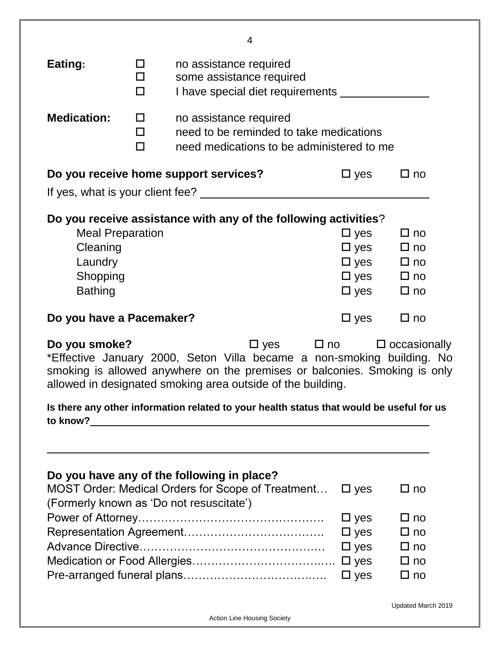|                                                                                                                                                                                                                                                                                 |                                                                                                                 | 4                                                                                                                                                  |                                                                                                        |                                                                        |  |  |  |  |  |
|---------------------------------------------------------------------------------------------------------------------------------------------------------------------------------------------------------------------------------------------------------------------------------|-----------------------------------------------------------------------------------------------------------------|----------------------------------------------------------------------------------------------------------------------------------------------------|--------------------------------------------------------------------------------------------------------|------------------------------------------------------------------------|--|--|--|--|--|
| Eating:                                                                                                                                                                                                                                                                         | no assistance required<br>0<br>some assistance required<br>$\Box$<br>I have special diet requirements<br>$\Box$ |                                                                                                                                                    |                                                                                                        |                                                                        |  |  |  |  |  |
| <b>Medication:</b>                                                                                                                                                                                                                                                              | $\Box$<br>$\Box$<br>$\Box$                                                                                      | no assistance required                                                                                                                             | need to be reminded to take medications<br>need medications to be administered to me                   |                                                                        |  |  |  |  |  |
| Do you receive home support services?<br>$\square$ yes<br>$\Box$ no<br>If yes, what is your client fee?                                                                                                                                                                         |                                                                                                                 |                                                                                                                                                    |                                                                                                        |                                                                        |  |  |  |  |  |
|                                                                                                                                                                                                                                                                                 |                                                                                                                 | Do you receive assistance with any of the following activities?                                                                                    |                                                                                                        |                                                                        |  |  |  |  |  |
| <b>Meal Preparation</b><br>Cleaning<br>Laundry<br>Shopping<br><b>Bathing</b>                                                                                                                                                                                                    |                                                                                                                 |                                                                                                                                                    | $\square$ yes<br>$\Box$ yes $\Box$ no<br>$\Box$ yes $\Box$ no<br>$\Box$ yes $\Box$ no<br>$\square$ yes | $\Box$ no<br>$\Box$ no                                                 |  |  |  |  |  |
| Do you have a Pacemaker?                                                                                                                                                                                                                                                        |                                                                                                                 |                                                                                                                                                    | $\square$ yes                                                                                          | $\Box$ no                                                              |  |  |  |  |  |
| $\Box$ yes $\Box$ no $\Box$ occasionally<br>Do you smoke?<br>*Effective January 2000, Seton Villa became a non-smoking building. No<br>smoking is allowed anywhere on the premises or balconies. Smoking is only<br>allowed in designated smoking area outside of the building. |                                                                                                                 |                                                                                                                                                    |                                                                                                        |                                                                        |  |  |  |  |  |
|                                                                                                                                                                                                                                                                                 |                                                                                                                 | Is there any other information related to your health status that would be useful for us                                                           |                                                                                                        |                                                                        |  |  |  |  |  |
|                                                                                                                                                                                                                                                                                 |                                                                                                                 |                                                                                                                                                    |                                                                                                        |                                                                        |  |  |  |  |  |
|                                                                                                                                                                                                                                                                                 |                                                                                                                 | Do you have any of the following in place?<br><b>MOST Order: Medical Orders for Scope of Treatment</b><br>(Formerly known as 'Do not resuscitate') | $\square$ yes                                                                                          | $\square$ no                                                           |  |  |  |  |  |
|                                                                                                                                                                                                                                                                                 |                                                                                                                 |                                                                                                                                                    | $\square$ yes<br>$\square$ yes<br>$\square$ yes<br>$\square$ yes<br>$\square$ yes                      | $\Box$ no<br>$\square$ no<br>$\Box$ no<br>$\square$ no<br>$\square$ no |  |  |  |  |  |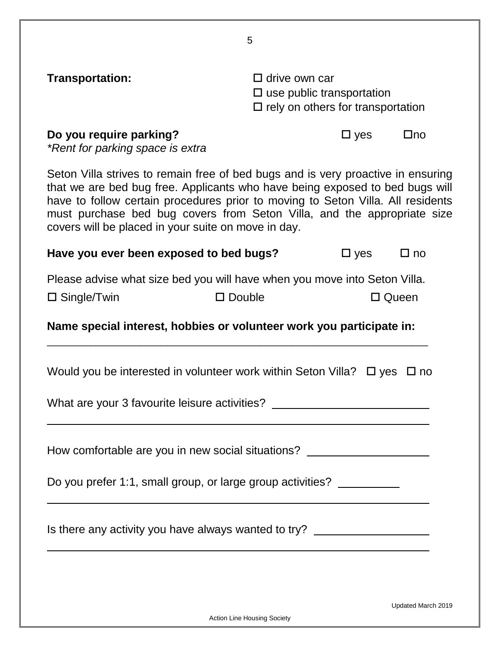| Transportation:                                                                                                                                                                                                                                                                                                                                                                       | $\Box$ drive own car<br>$\square$ use public transportation<br>$\Box$ rely on others for transportation |                 |           |  |  |  |
|---------------------------------------------------------------------------------------------------------------------------------------------------------------------------------------------------------------------------------------------------------------------------------------------------------------------------------------------------------------------------------------|---------------------------------------------------------------------------------------------------------|-----------------|-----------|--|--|--|
| Do you require parking?<br>*Rent for parking space is extra                                                                                                                                                                                                                                                                                                                           |                                                                                                         | $\square$ yes   | $\Box$ no |  |  |  |
| Seton Villa strives to remain free of bed bugs and is very proactive in ensuring<br>that we are bed bug free. Applicants who have being exposed to bed bugs will<br>have to follow certain procedures prior to moving to Seton Villa. All residents<br>must purchase bed bug covers from Seton Villa, and the appropriate size<br>covers will be placed in your suite on move in day. |                                                                                                         |                 |           |  |  |  |
| Have you ever been exposed to bed bugs?                                                                                                                                                                                                                                                                                                                                               |                                                                                                         | $\square$ yes   | $\Box$ no |  |  |  |
| Please advise what size bed you will have when you move into Seton Villa.<br>$\square$ Double<br>$\square$ Single/Twin                                                                                                                                                                                                                                                                |                                                                                                         | $\square$ Queen |           |  |  |  |
| Name special interest, hobbies or volunteer work you participate in:                                                                                                                                                                                                                                                                                                                  |                                                                                                         |                 |           |  |  |  |
| Would you be interested in volunteer work within Seton Villa? $\Box$ yes $\Box$ no                                                                                                                                                                                                                                                                                                    |                                                                                                         |                 |           |  |  |  |
| What are your 3 favourite leisure activities? __________________________________                                                                                                                                                                                                                                                                                                      |                                                                                                         |                 |           |  |  |  |
| How comfortable are you in new social situations? ______________________________                                                                                                                                                                                                                                                                                                      |                                                                                                         |                 |           |  |  |  |
| Do you prefer 1:1, small group, or large group activities? _________                                                                                                                                                                                                                                                                                                                  |                                                                                                         |                 |           |  |  |  |
| Is there any activity you have always wanted to try? ___________________________                                                                                                                                                                                                                                                                                                      |                                                                                                         |                 |           |  |  |  |
|                                                                                                                                                                                                                                                                                                                                                                                       |                                                                                                         |                 |           |  |  |  |

Action Line Housing Society

5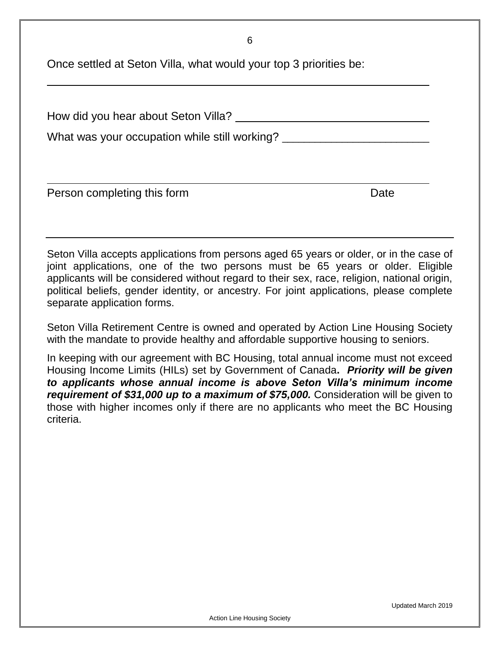6

Once settled at Seton Villa, what would your top 3 priorities be:

| How did you hear about Seton Villa?           |      |  |  |  |  |
|-----------------------------------------------|------|--|--|--|--|
| What was your occupation while still working? |      |  |  |  |  |
|                                               |      |  |  |  |  |
| Person completing this form                   | Date |  |  |  |  |

Seton Villa accepts applications from persons aged 65 years or older, or in the case of joint applications, one of the two persons must be 65 years or older. Eligible applicants will be considered without regard to their sex, race, religion, national origin, political beliefs, gender identity, or ancestry. For joint applications, please complete separate application forms.

Seton Villa Retirement Centre is owned and operated by Action Line Housing Society with the mandate to provide healthy and affordable supportive housing to seniors.

In keeping with our agreement with BC Housing, total annual income must not exceed Housing Income Limits (HILs) set by Government of Canada**.** *Priority will be given to applicants whose annual income is above Seton Villa's minimum income requirement of \$31,000 up to a maximum of \$75,000.* Consideration will be given to those with higher incomes only if there are no applicants who meet the BC Housing criteria.